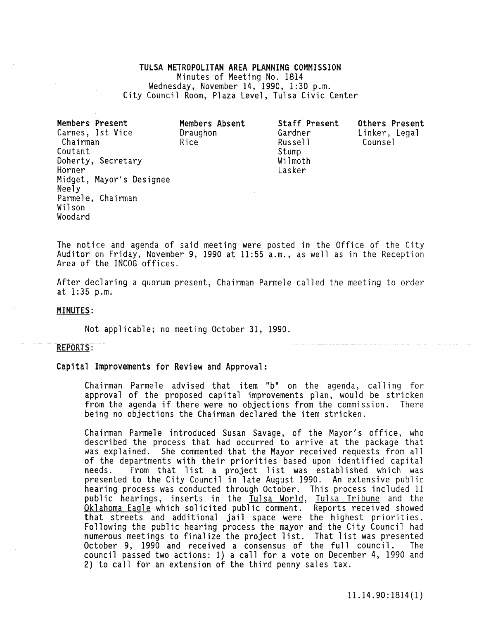# TULSA METROPOLITAN AREA **PLANNING** COMMISSION Minutes of Meeting No. 1814<br>Wednesday, November 14, 1990, 1:30 p.m. City Council Room, Plaza Level, Tulsa Civic Center

| Members Present              | Members Absent          | Staff Present      | Others Present           |
|------------------------------|-------------------------|--------------------|--------------------------|
| Carnes, 1st Vice<br>Chairman | Draughon<br><b>Rice</b> | Gardner<br>Russell | Linker, Legal<br>Counse] |
| Coutant                      |                         | Stump              |                          |
| Doherty, Secretary           |                         | Wilmoth            |                          |
| Horner                       |                         | Lasker             |                          |
| Midget, Mayor's Designee     |                         |                    |                          |
| Neely                        |                         |                    |                          |
| Parmele, Chairman            |                         |                    |                          |
| Wilson                       |                         |                    |                          |
| Woodard                      |                         |                    |                          |

The notice and agenda of said meeting were posted in the Office of the City Auditor on Friday, November 9, 1990 at 11:55 a.m., as well as in the Reception Area of the INCOG offices.

After declaring a quorum present, Chairman Parmele called the meeting to order at 1:35 p.m.

## MINUTES:

Not applicable; no meeting October 31, 1990.

#### REPORTS:

Capital Improvements for Review and Approval:

Chairman Parmele advised that item "b" on the agenda, call ing for approval of the proposed capital improvements plan, would be stricken from the agenda if there were no objections from the commission. There being no objections the Chairman declared the item stricken.

Chairman Parmele introduced Susan Savage, of the Mayor's office, who described the process that had occurred to arrive at the package that was explained. She commented that the Mayor received requests from all of the departments with their priorities based upon identified capital needs. From that list a project list was established which was presented to the City Council in late August 1990. An extensive public hearing process was conducted through October. This process included 11 public hearings, inserts in the Tulsa World, Tulsa Tribune and the Oklahoma Eagle which solicited public comment. Reports received showed that streets and additional jail space were the highest priorities. **Following the public hearing process the mayor and the City Council had**  numerous meetings to finalize the project list. That list was presented<br>October 9. 1990 and received a consensus of the full council. The October 9, 1990 and received a consensus of the full council. council passed two actions: 1) a call for a vote on December 4, 1990 and 2) to call for an extension of the third penny sales tax.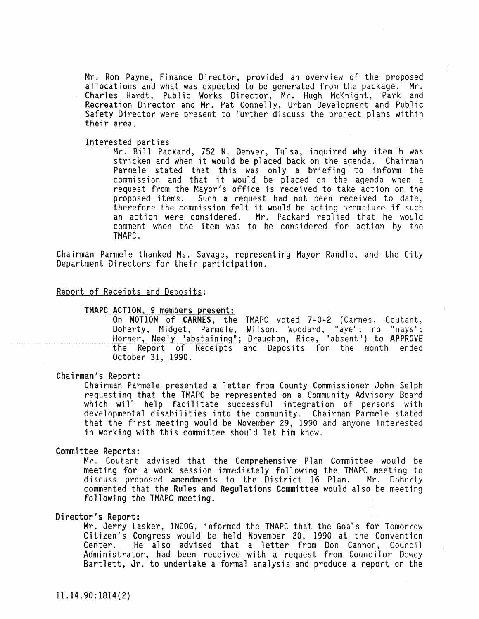Mr. Ron Payne, Finance Director, provided an overview of the proposed allocations and what was expected to be generated from the package. Mr. Charles Hardt, Public Works Director, Mr. Hugh McKnight, Park and Recreation Director and Mr. Pat Connelly, Urban Development and Public Safety Director were present to further discuss the project plans within their area.

#### Interested parties

Mr. Bill Packard, 752 N. Denver, Tulsa, inquired why item b was stricken and when it would be placed back on the agenda. Chairman Parmele stated that this was only a briefing to inform the commission and that it would be placed on the agenda when a request from the Mayor's office is received to take action on the Such a request had not been received to date, therefore the commission felt it would be acting premature if such an action were considered. Mr. Packard replied that he would comment when the item was to be considered for action by the TMAPC.

Chairman Parmele thanked Ms. Savage, representing Mayor Randle, and the City Department Directors for their participation.

#### Report of Receipts and Deposits:

## TMAPC ACTION. 9 members present:

On **MOTION** of CARNES, the TMAPC voted 7-0-2 (Carnes, Coutant, Doherty, Midget, Parmele, Wilson, Woodard, "aye"; no "nays"; Horner, Neely "abstaining"; Draughon, Rice, "absent") to APPROVE the Report of Receipts and Deposits for the month ended October 31, 1990.

#### Chairman's Report:

Chairman Parmele presented a letter from County Commissioner John Selph requesting that the TMAPC be represented on a Community Advisory Board which will help facilitate successful integration of persons with developmental disabilities into the community. Chairman Parmele stated that the first meeting would be November 29, 1990 and anyone interested in working with this committee should let him know.

#### Committee Reports:

Mr. Coutant advised that the Comprehensive Plan Committee would be meeting for a work session immediately following the TMAPC meeting to discuss proposed amendments to the District 16 Plan. Mr. Doherty commented that the Rules and Regulations Committee would also be meeting following the TMAPC meeting.

## Director's Report:

**Mr. Jerry Lasker, INCOG, informed the TMAPC that the Goals for Tomorrow**  Citizen's Congress would be held November 20, 1990 at the Convention Center. He also advised that a letter from Don Cannon, Council Administrator, had been received with a request from Councilor Dewey Bartlett, Jr. to undertake a formal analysis and produce a report on the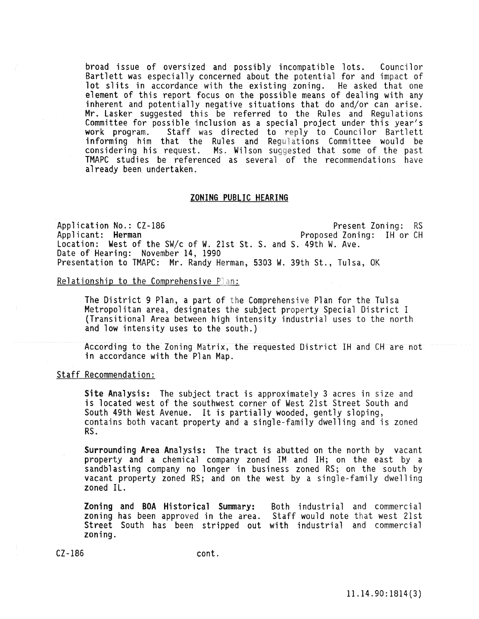broad issue of oversized and possibly incompatible lots. Councilor Bartlett was especially concerned about the potential for and impact of lot slits in accordance with the existing zoning. He asked that one element of this report focus on the possible means of dealing with any inherent and potentially negative situations that do and/or can arise.<br>Mr. Lasker suggested this be referred to the Rules and Regulations Mr. Lasker suggested this be referred to the Rules and Regulations Committee for possible inclusion as a special project under this year's work program. Staff was directed to reply to Councilor Bartlett informing him that the Rules and Regulations Committee would be considering his request. Ms. Wilson suggested that some of the past TMAPC studies be referenced as several of the recommendations have already been undertaken.

## ZONING PUBLIC HEARING

Application No.: CZ-186 Present Zoning: RS<br>Applicant: Herman Photosed Zoning: IH or CH Proposed Zoning: IH or CH Location: West of the SW/c of W. 21st St. S. and S. 49th W. Ave. Date of Hearing: November 14, 1990 Presentation to TMAPC: Mr. Randy Herman, 5303 W. 39th St., Tulsa, OK

#### Relationship to the Comprehensive Pan:

The District 9 Plan, a part of the Comprehensive Plan for the Tulsa Metropolitan area, designates the subject property Special District I (Transitional Area between high intensity industrial uses to the north and low intensity uses to the south.)

According to the Zoning Matrix, the requested District IH and CH are not in accordance with the Plan Map.

Staff Recommendation:

Site Analysis: The subject tract is approximately 3 acres in size and is located west of the southwest corner of West 21st Street South and South 49th West Avenue. It is partially wooded, gently sloping, contains both vacant property and a single-family dwelling and is zoned RS.

Surrounding Area Analysis: The tract is abutted on the north by vacant property and a chemical company zoned IM and IH; on the east by a sandblasting company no longer in business zoned RS; on the south by vacant property zoned RS; and on the west by a single-family dwelling zoned IL.

Zoning and BOA Historical Summary: Both industrial and commercial zoning has been approved in the area. Staff would note that west 21st Street South has been stripped out with industrial and commercial zoning.

CZ-186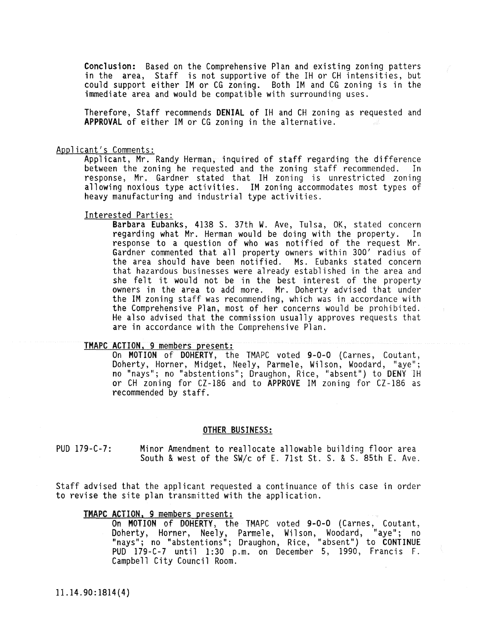Conclusion: Based on the Comprehensive Plan and existing zoning patters in the area, Staff is not supportive of the IH or CH intensities, but could support either 1M or CG zoning. Both 1M and CG zoning is in the immediate area and would be compatible with surrounding uses.

Therefore, Staff recommends **DENIAL** of IH and CH zoning as requested and **APPROVAL** of either 1M or CG zoning in the alternative.

#### Applicant's Comments:

Applicant, Mr. Randy Herman, inquired of staff regarding the difference<br>between the zoning he requested and the zoning staff recommended. In between the zoning he requested and the zoning staff recommended. response, Mr. Gardner stated that IH zoning is unrestricted zoning allowing noxious type activities. 1M zoning accommodates most types of heavy manufacturing and industrial type activities.

### Interested Parties:

Barbara Eubanks, 4138 S. 37th W. Ave, Tulsa, OK, stated concern regarding what Mr. Herman would be doing with the property. In response to a question of who was notified of the request Mr. Gardner commented that all property owners within 300' radius of the area should have been notified. Ms. Eubanks stated concern that hazardous businesses were already established in the area and she felt it would not be in the best interest of the property owners in the area to add more. Mr. Doherty advised that under the 1M zoning staff was recommending, which was in accordance with the Comprehensive Plan, most of her concerns would be prohibited. He also advised that the commission usually approves requests that are in accordance with the Comprehensive Plan.

#### TMAPC ACTION. 9 members present:

On MOTION of DOHERTY, the TMAPC voted 9-0-0 (Carnes, Coutant, Doherty, Horner, Midget, Neely, Parmele, Wilson, Woodard, "aye"; no "nays"; no "abstentions"; Draughon, Rice, "absent") to DENY IH or CH zoning for CZ-186 and to APPROVE 1M zoning for CZ-186 as recommended by staff.

#### OTHER BUSINESS:

PUD 179-C-7: Minor Amendment to reallocate allowable building floor area South & west of the SW/c of E. 71st St. S. & S. 85th E. Ave.

Staff advised that the applicant requested a continuance of this case in order to revise the site plan transmitted with the application.

#### TMAPC ACTION. 9 members present:

On MOTION of DOHERTY; the TMAPC voted 9-0-0 (Carnes, Coutant, Doherty, Horner, Neely, Parmele, Wilson, Woodard, "aye"; no "nays"; no "abstentions"; Draughon, Rice, "absent") to CONTINUE PUD 179-C-7 until 1:30 p.m. on December 5, 1990, Francis F. Campbell City Council Room.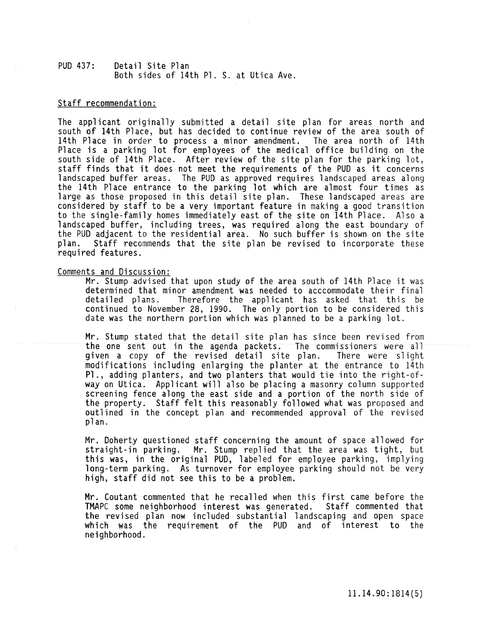## PUD 437: Detail Site Plan Both sides of 14th Pl. S. at Utica Ave.

## Staff recommendation:

The applicant originally submitted a detail site plan for areas north and south of 14th Place, but has decided to continue review of the area south of 14th Place in order to process a minor amendment. The area north of 14th Place is a parking lot for employees of the medical office building on the south side of 14th Place. After review of the site plan for the parking lot, staff finds that it does not meet the requirements of the PUD as it concerns<br>landscaped buffer areas. The PUD as approved requires landscaped areas along the 14th Place entrance to the parking lot which are almost four times as large as those proposed in this detail site plan. These landscaped areas are considered by staff to be a very important feature in making a good transition to the single-family homes immediately east of the site on 14th Place. Also a landscaped buffer, including trees, was required along the east boundary of the PUD adjacent to the residential area. No such buffer is shown on the site plan. Staff recommends that the site plan be revised to incorporate these required features.

#### Comments and Discussion:

Mr. Stump advised that upon study of the area south of 14th Place it was determined that minor amendment was needed to acccommodate their final<br>detailed plans. Therefore the applicant has asked that this be Therefore the applicant has asked that this be continued to November 28, 1990. The only portion to be considered this date was the northern portion which was planned to be a parking lot.

Mr. Stump stated that the detail site plan has since been revised from the one sent out in the agenda packets. The commissioners were all<br>given a copy of the revised detail site plan. There were slight given a copy of the revised detail site plan. modifications including enlarging the planter at the entrance to 14th Pl., adding planters, and two planters that would tie into the right-ofway on Utica. Applicant will also be placing a masonry column supported screening fence along the east side and a portion of the north side of the property. Staff felt this reasonably followed what was proposed and outlined in the concept plan and recommended approval of the revised plan.

Mr. Doherty questioned staff concerning the amount of space allowed for straight-in parking. Mr. Stump replied that the area was tight, but this was, in the original PUD, labeled for employee parking, implying long-term parking. As turnover for employee parking should not be very high, staff did not see this to be a problem.

Mr. Coutant commented that he recalled when this first came before the TMAPC some neighborhood interest was generated. Staff commented that TMAPC some neighborhood interest was generated. the revised plan now included substantial landscaping and open space which was the requirement of the PUD and of interest to the neighborhood.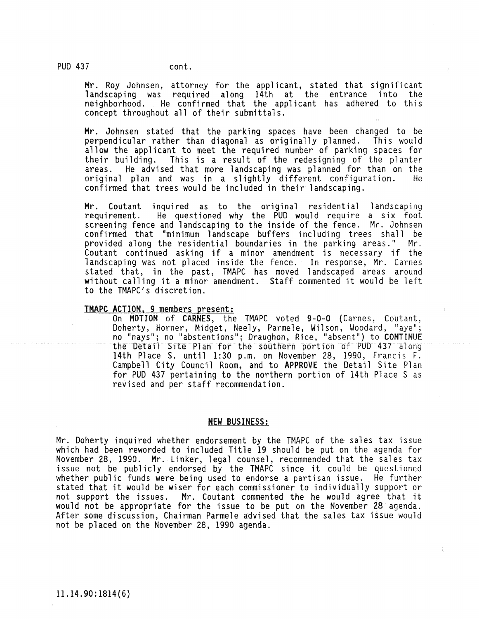Mr. Roy Johnsen, attorney for the applicant, stated that significant landscaping was required along 14th at the entrance into the neighborhood. He confirmed that the applicant has adhered to this concept throughout all of their submittals.

Mr. Johnsen stated that the parking spaces have been changed to be perpendicular rather than diagonal as originally planned. This would allow the applicant to meet the required number of parking spaces for their building. This is a result of the redesigning of the planter This is a result of the redesigning of the planter areas. He advised that more landscaping was planned for than on the<br>original plan and was in a slightly different configuration. He original plan and was in a slightly different configuration. confirmed that trees would be included in their landscaping.

Mr. Coutant inquired as to the original residential landscaping requirement. He questioned why the PUD would require a six foot screening fence and landscaping to the inside of the fence. Mr. Johnsen confirmed that "minimum landscape buffers including trees shall be provided along the residential boundaries in the parking areas." Mr. Coutant continued asking if a minor amendment is necessary if the landscaping was not placed inside the fence. In response, Mr. Carnes stated that, in the past, TMAPC has moved landscaped areas around without calling it a minor amendment. Staff commented it would be left to the TMAPC's discretion.

## TMAPC ACTION. 9 members present:

On MOTION of CARNES, the TMAPC voted 9-0-0 (Carnes, Coutant, Doherty, Horner, Midget, Neely, Parmele, Wilson, Woodard, "aye"; no "nays"; no "abstentions"; Draughon, Rice, "absent") to CONTINUE the Detail Site Plan for the southern portion of PUD 437 along<br>14th Place S. until 1:30 p.m. on November 28, 1990, Francis F. Campbell City Council Room, and to APPROVE the Detail Site Plan for PUD 437 pertaining to the northern portion of 14th Place S as revised and per staff recommendation.

#### NEW BUSINESS:

Mr. Doherty inquired whether endorsement by the TMAPC of the sales tax issue which had been reworded to included Title 19 should be put on the agenda for November 28, 1990. Mr. Linker, legal counsel, recommended that the sales tax issue not be publicly endorsed by the TMAPC since it could be questioned whether public funds were being used to endorse a partisan issue. He further stated that it would be wiser for each commissioner to individually support or not support the issues. Mr. Coutant commented the he would agree that it would not be appropriate for the issue to be put on the November 28 agenda. After some discussion, Chairman Parmele advised that the sales tax issue would not be placed on the November 28; 1990 agenda.

PUD 437 cont.

11.14.90:1814(6)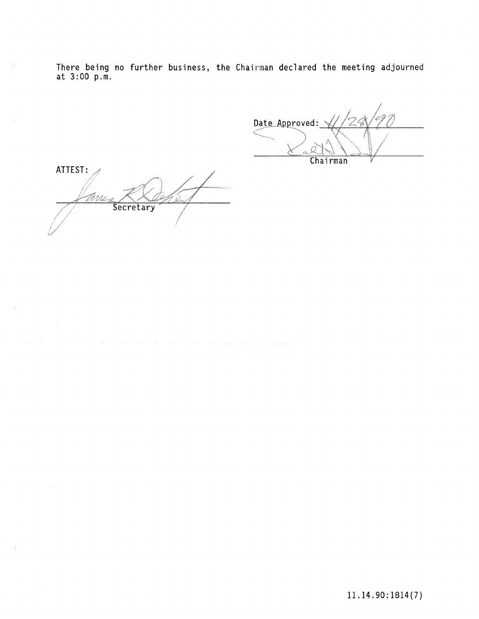There being no further business, the Chairman declared the meeting adjourned at 3:00 p.m.

Date Approved: **Chairman** 

ATTEST: EV U Secretary

11.14.90: 1814(7)